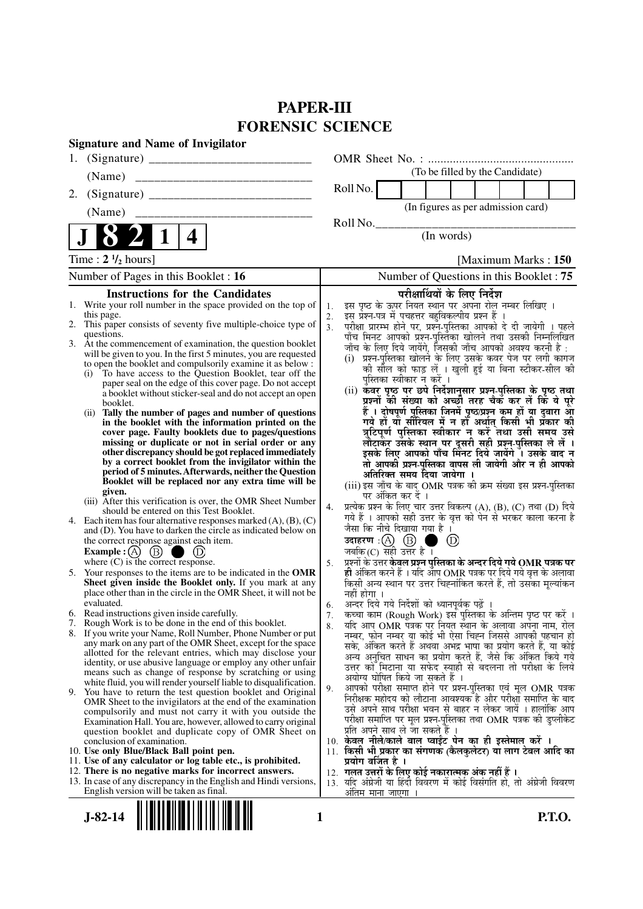# **PAPER-III FORENSIC SCIENCE**

| <b>Signature and Name of Invigilator</b>                                                                                                                                                                                 |  |
|--------------------------------------------------------------------------------------------------------------------------------------------------------------------------------------------------------------------------|--|
| 1.                                                                                                                                                                                                                       |  |
| (To be filled by the Candidate)<br>(Name)                                                                                                                                                                                |  |
| Roll No.<br>2.                                                                                                                                                                                                           |  |
| (In figures as per admission card)<br>(Name)                                                                                                                                                                             |  |
| Roll No.                                                                                                                                                                                                                 |  |
| 4<br>(In words)                                                                                                                                                                                                          |  |
| Time: $2 \frac{1}{2}$ hours]<br>[Maximum Marks: 150]                                                                                                                                                                     |  |
| Number of Pages in this Booklet: 16<br>Number of Questions in this Booklet : 75                                                                                                                                          |  |
| <b>Instructions for the Candidates</b><br>परीक्षार्थियों के लिए निर्देश                                                                                                                                                  |  |
| इस पृष्ठ के ऊपर नियत स्थान पर अपना रोल नम्बर लिखिए ।<br>1. Write your roll number in the space provided on the top of<br>1.                                                                                              |  |
| इस प्रश्न-पत्र में पचहत्तर बहुविकल्पीय प्रश्न हैं ।<br>this page.<br>2.                                                                                                                                                  |  |
| 2. This paper consists of seventy five multiple-choice type of<br>परीक्षा प्रारम्भ होने पर, प्रश्न-पुस्तिका आपको दे दी जायेगी । पहले<br>3.<br>questions.                                                                 |  |
| पाँच मिनट आपको प्रश्न-पुस्तिका खोलने तथा उसकी निम्नलिखित<br>3. At the commencement of examination, the question booklet<br>जाँच के लिए दिये जायेंगे, जिसकी जाँच आपको अवश्य करनी है :                                     |  |
| will be given to you. In the first 5 minutes, you are requested<br>प्रश्न-पुस्तिका खोलने के लिए उसके कवर पेज पर लगी कागज<br>(i)                                                                                          |  |
| to open the booklet and compulsorily examine it as below :<br>की सील को फाड़ लें । खुली हुई या बिना स्टीकर-सील की                                                                                                        |  |
| To have access to the Question Booklet, tear off the<br>(i)<br>पुस्तिका स्वीकार न करें ।<br>paper seal on the edge of this cover page. Do not accept                                                                     |  |
| (ii) कवर पृष्ठ पर छपे निर्देशानुसार प्रश्न-पुस्तिका के पृष्ठ तथा<br>a booklet without sticker-seal and do not accept an open                                                                                             |  |
| प्रश्नों की संख्या को अच्छों तरह चैकँ कर लें किं ये पूरे<br>booklet.                                                                                                                                                     |  |
| हैं । दोषपूर्ण पुस्तिका जिनमें पृष्ठ/प्रश्न कम हों या दुबारा आ<br>Tally the number of pages and number of questions<br>(i)                                                                                               |  |
| गये हों यो सीरियल में न हों अर्थात् किसी भी प्रकार की<br>in the booklet with the information printed on the<br>त्रुटिपूर्ण पुस्तिका स्वीकार न करें तथा उसी समय उसे<br>cover page. Faulty booklets due to pages/questions |  |
| लौटाकर उसके स्थान पर दूसरी सही प्रश्न-पुस्तिका ले लें ।<br>missing or duplicate or not in serial order or any                                                                                                            |  |
| other discrepancy should be got replaced immediately<br>इसके लिए आपको पाँच मिनट दिये जायेंगे । उसके बाद न                                                                                                                |  |
| by a correct booklet from the invigilator within the<br>तो आपकी प्रश्न-पुस्तिका वापस ली जायेगी और न ही आपको                                                                                                              |  |
| period of 5 minutes. Afterwards, neither the Question<br>अतिरिक्त समय दिया जायेगा ।                                                                                                                                      |  |
| Booklet will be replaced nor any extra time will be<br>(iii) इस जाँच के बाद OMR पत्रक की क्रम संख्या इस प्रश्न-पुस्तिका<br>given.                                                                                        |  |
| पर अंकित कर दें ।<br>(iii) After this verification is over, the OMR Sheet Number                                                                                                                                         |  |
| प्रत्येक प्रश्न के लिए चार उत्तर विकल्प (A), (B), (C) तथा (D) दिये<br>4.<br>should be entered on this Test Booklet.<br>गये हैं । आपको सही उत्तर के वृत्त को पेन से भरकर काला करना है                                     |  |
| 4. Each item has four alternative responses marked $(A)$ , $(B)$ , $(C)$<br>जैसा कि नीचे दिखाया गया है ।<br>and (D). You have to darken the circle as indicated below on                                                 |  |
| उदाहरण: $(A)$ $(B)$<br>(D)<br>the correct response against each item.                                                                                                                                                    |  |
| Example : $(A)$ (B)<br>जबकि $(C)$ सही उत्तर है।<br>(D)                                                                                                                                                                   |  |
| प्रश्नों के उत्तर <b>केवल प्रश्न पुस्तिका के अन्दर दिये गये OMR पत्रक पर</b><br>where $(C)$ is the correct response.<br>5.                                                                                               |  |
| ही अंकित करने हैं । यदि आप OMR पत्रक पर दिये गये वृत्त के अलावा<br>Your responses to the items are to be indicated in the OMR<br>5.                                                                                      |  |
| किसी अन्य स्थान पर उत्तर चिह्नांकित करते हैं, तो उसका मृल्यांकन<br>Sheet given inside the Booklet only. If you mark at any                                                                                               |  |
| place other than in the circle in the OMR Sheet, it will not be<br>नहीं होगा ।<br>अन्दर दिये गये निर्देशों को ध्यानपूर्वक पढ़ें<br>evaluated.                                                                            |  |
| 6.<br>6. Read instructions given inside carefully.<br>कच्चा काम (Rough Work) इस पुस्तिका के अन्तिम पृष्ठ पर करें ।<br>7.                                                                                                 |  |
| 7. Rough Work is to be done in the end of this booklet.<br>यदि आप OMR पत्रक पर नियंत स्थान के अलावा अपना नाम, रोल<br>8.                                                                                                  |  |
| 8. If you write your Name, Roll Number, Phone Number or put<br>नम्बर, फोन नम्बर या कोई भी ऐसा चिह्न जिससे आपकी पहचान हो                                                                                                  |  |
| any mark on any part of the OMR Sheet, except for the space<br>सके, अंकित करते हैं अथवा अभद्र भाषा का प्रयोग करते हैं, या कोई<br>allotted for the relevant entries, which may disclose your                              |  |
| अन्य अनचित साधन का प्रयोग करते हैं, जैसे कि अंकित किये गये<br>identity, or use abusive language or employ any other unfair                                                                                               |  |
| उत्तर को मिटाना या सफेद स्याही से बदलना तो परीक्षा के लिये<br>means such as change of response by scratching or using<br>अयोग्य घोषित किये जा सकते हैं ।                                                                 |  |
| white fluid, you will render yourself liable to disqualification.<br>आपको परीक्षा समाप्त होने पर प्रश्न-पुस्तिका एवं मूल OMR पत्रक<br>9.                                                                                 |  |
| 9. You have to return the test question booklet and Original<br>निरीक्षक महोदय को लौटाना आवश्यक है और परीक्षा समाप्ति के बाद                                                                                             |  |
| OMR Sheet to the invigilators at the end of the examination<br>उसे अपने साथ परीक्षा भवन से बाहर न लेकर जायें । हालांकि आप<br>compulsorily and must not carry it with you outside the                                     |  |
| परीक्षा समाप्ति पर मूल प्रश्न-पुस्तिका तथा OMR पत्रक की डुप्लीकेट<br>Examination Hall. You are, however, allowed to carry original                                                                                       |  |
| प्रति अपने साथ ले जा सकते हैं ।<br>question booklet and duplicate copy of OMR Sheet on                                                                                                                                   |  |
| 10. केवल नीले/काले बाल प्वाईट पेन का ही इस्तेमाल करें ।<br>conclusion of examination.<br>11. किसी भी प्रकार का संगणक (कैलकुलेटर) या लाग टेबल आदि का                                                                      |  |
| 10. Use only Blue/Black Ball point pen.<br>प्रयोग वर्जित है ।<br>11. Use of any calculator or log table etc., is prohibited.                                                                                             |  |
| 12. गलत उत्तरों के लिए कोई नकारात्मक अंक नहीं हैं ।<br>12. There is no negative marks for incorrect answers.                                                                                                             |  |
| 13. In case of any discrepancy in the English and Hindi versions,<br>13. यदि अंग्रेजी या हिंदी विवरण में कोई विसंगति हो, तो अंग्रेजी विवरण                                                                               |  |
| English version will be taken as final.<br><u>अंतिम माना जाएगा</u>                                                                                                                                                       |  |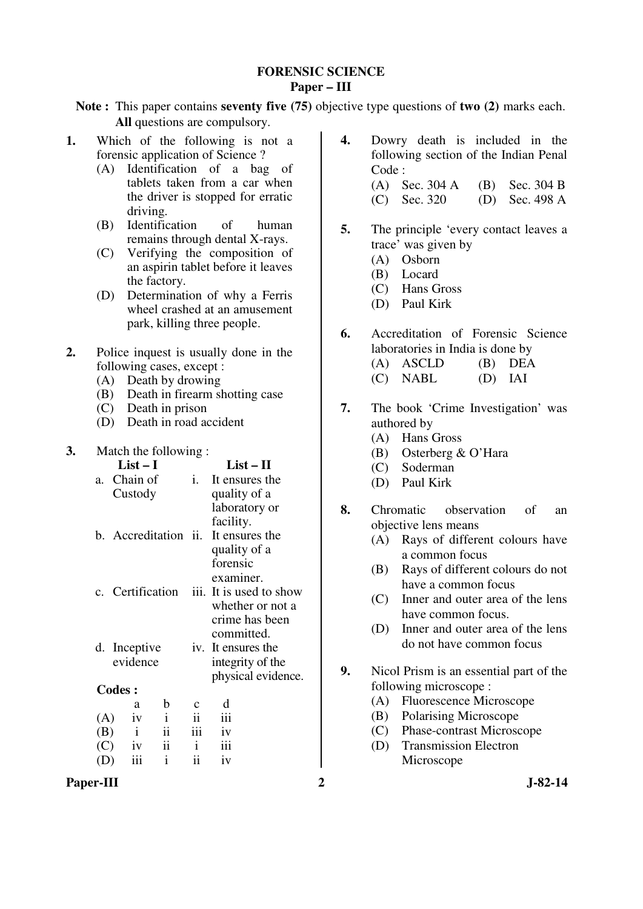### **FORENSIC SCIENCE Paper – III**

**Note :** This paper contains **seventy five (75)** objective type questions of **two (2)** marks each. **All** questions are compulsory.

- **1.** Which of the following is not a forensic application of Science ?
	- (A) Identification of a bag of tablets taken from a car when the driver is stopped for erratic driving.
	- (B) Identification of human remains through dental X-rays.
	- (C) Verifying the composition of an aspirin tablet before it leaves the factory.
	- (D) Determination of why a Ferris wheel crashed at an amusement park, killing three people.
- **2.** Police inquest is usually done in the following cases, except :
	- (A) Death by drowing
	- (B) Death in firearm shotting case
	- (C) Death in prison
	- (D) Death in road accident

### **3.** Match the following :

|                                 |               | $List-I$     |                      |     | $List-II$               |
|---------------------------------|---------------|--------------|----------------------|-----|-------------------------|
| a.                              |               | Chain of     |                      | i.  | It ensures the          |
|                                 |               | Custody      |                      |     | quality of a            |
|                                 |               |              |                      |     | laboratory or           |
|                                 |               |              |                      |     | facility.               |
|                                 |               |              | b. Accreditation ii. |     | It ensures the          |
|                                 |               |              |                      |     | quality of a            |
|                                 |               |              |                      |     | forensic                |
|                                 |               |              |                      |     | examiner.               |
|                                 |               |              | c. Certification     |     | iii. It is used to show |
|                                 |               |              |                      |     | whether or not a        |
|                                 |               |              |                      |     | crime has been          |
|                                 |               |              |                      |     | committed.              |
|                                 |               | d. Inceptive |                      |     | iv. It ensures the      |
|                                 |               | evidence     |                      |     | integrity of the        |
|                                 |               |              |                      |     | physical evidence.      |
|                                 | <b>Codes:</b> |              |                      |     |                         |
|                                 |               | a            | b                    | с   | d                       |
| (A)                             |               | iv           | $\mathbf{i}$         |     | iii                     |
| (B)                             |               | $\mathbf{i}$ | ii                   | iii | iv                      |
| (C)                             |               | iv           | ii                   | i   | iii                     |
| $\left( \left  \right. \right)$ |               | iii          | $\mathbf{i}$         | ii  | iv                      |

- **4.** Dowry death is included in the following section of the Indian Penal Code : (A) Sec. 304 A (B) Sec. 304 B
- **5.** The principle 'every contact leaves a trace' was given by

(C) Sec. 320 (D) Sec. 498 A

- (A) Osborn
- (B) Locard
- (C) Hans Gross
- (D) Paul Kirk
- **6.** Accreditation of Forensic Science laboratories in India is done by (A) ASCLD (B) DEA
	- (C) NABL (D) IAI
- **7.** The book 'Crime Investigation' was authored by
	- (A) Hans Gross
	- (B) Osterberg & O'Hara
	- (C) Soderman
	- (D) Paul Kirk
- **8.** Chromatic observation of an objective lens means
	- (A) Rays of different colours have a common focus
	- (B) Rays of different colours do not have a common focus
	- (C) Inner and outer area of the lens have common focus.
	- (D) Inner and outer area of the lens do not have common focus
- **9.** Nicol Prism is an essential part of the following microscope :
	- (A) Fluorescence Microscope
	- (B) Polarising Microscope
	- (C) Phase-contrast Microscope
	- (D) Transmission Electron Microscope
- Paper-III 3-82-14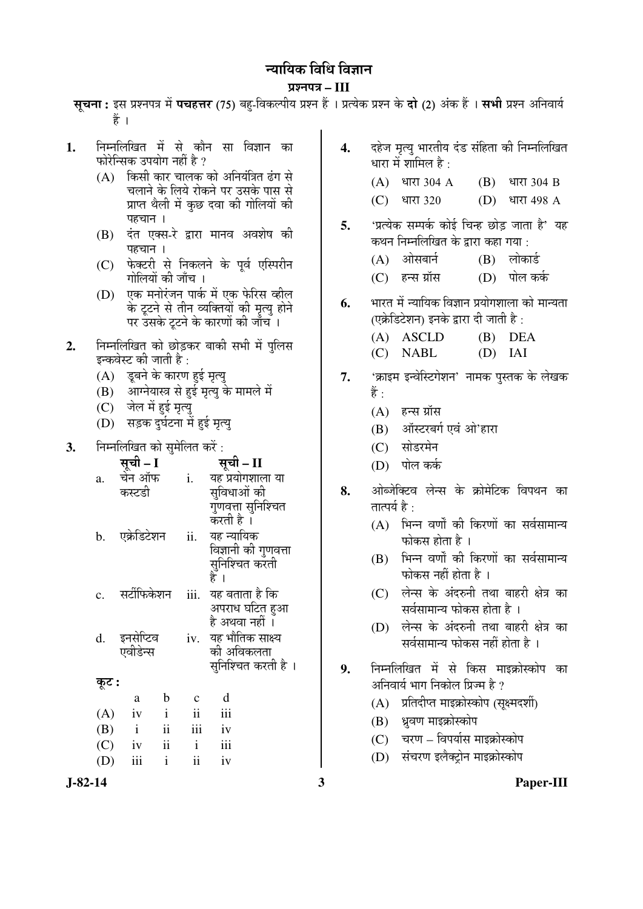# <u>न्यायिक विधि विज्ञान</u>

### ¯ÖÏ¿®Ö¯Ö¡Ö **– III**

सचना: इस प्रश्नपत्र में पचहत्तर (75) बह-विकल्पीय प्रश्न हैं । प्रत्येक प्रश्न के **दो (2)** अंक हैं । सभी प्रश्न अनिवार्य हैं ।

- **1.** ×®Ö´®Ö×»Ö×ÜÖŸÖ ´Öë ÃÖê ÛúÖî®Ö ÃÖÖ ×¾Ö–ÖÖ®Ö ÛúÖ फोरेन्सिक उपयोग नहीं है ?
	- $(A)$  किसी कार चालक को अनियंत्रित ढंग से चलाने के लिये रोकने पर उसके पास से प्राप्त थैली में कुछ दवा की गोलियों की पहचान ।
	- (B) दंत एक्स-रे द्वारा मानव अवशेष की पहचान ।
	- (C) फेक्टरी से निकलने के पर्व एस्पिरीन गोलियों की जाँच ।
	- (D) एक मनोरंजन पार्क में एक फेरिस व्हील के टूटने से तीन व्यक्तियों की मृत्यु होने पर उसके टूटने के कारणों की जाँच ।
- 2. निम्नलिखित को छोड़कर बाकी सभी में पुलिस इन्कवेस्ट की जाती है :
	- (A) इबने के कारण हई मृत्य
	- (B) आग्नेयास्त्र से हई मृत्यु के मामले में
	- (C) जेल में हई मृत्य
	- (D) सड़क दर्घटना में हई मृत्य
- **3.** निम्नलिखित को सुमेलित करें :

|                | <b>सूची – I</b><br>चेन ऑफ |               |                | सूची – II              |
|----------------|---------------------------|---------------|----------------|------------------------|
| a.             |                           |               | i.             | यह प्रयोगशाला या       |
|                | कस्टडी                    |               |                | सुविधाओं की            |
|                |                           |               |                | गुणवत्ता सुनिश्चित     |
|                |                           |               |                | करती है ।              |
| b.             | एक्रेडिटेशन               |               | ii.            | यह न्यायिक             |
|                |                           |               |                | विज्ञानी की गुणवत्ता   |
|                |                           |               |                | सुनिश्चित करती<br>है । |
|                | सर्टीफिकेशन               |               | iii.           | यह बताता है कि         |
| $\mathbf{c}$ . |                           |               |                | अपराध घटित हुआ         |
|                |                           |               |                | है अथवा नहीं ।         |
| d.             | इनसेप्टिव                 |               |                | iv. यह भौतिक साक्ष्य   |
|                | एवीडेन्स                  |               |                | की अविकलता             |
|                |                           |               |                | सुनिश्चित करती है ।    |
| कूट :          |                           |               |                |                        |
|                | a                         | $\mathbf b$   |                | $\mathbf d$            |
| (A)            | iv                        | $\mathbf{i}$  | $\ddot{\rm n}$ | iii                    |
| (B)            | $\mathbf{i}$              | $\mathbf{ii}$ | iii            | iv                     |
| (C)            | iv                        | ii            | $\mathbf{i}$   | iii                    |

 $(D)$  iii i ii iv

- 4. दहेज मृत्यु भारतीय दंड संहिता की निम्नलिखित धारा में शामिल है $\, \cdot \,$  $(A)$  धारा 304 A  $(B)$  धारा 304 B  $(C)$  धारा 320  $(D)$  धारा 498 A **5.** 'प्रत्येक सम्पर्क कोई चिन्ह छोड़ जाता है' यह कथन निम्नलिखित के द्वारा कहा गया :  $(A)$  ओसबार्न  $(B)$  लोकार्ड (C) हन्स ग्रॉस (D) पोल कर्क **6.** भारत में न्यायिक विज्ञान प्रयोगशाला को मान्यता (एक्रेडिटेशन) इनके द्वारा दी जाती है: (A) ASCLD (B) DEA (C) NABL (D) IAI 7. 'क्राइम इन्वेस्टिगेशन' नामक पुस्तक के लेखक हैं :  $(A)$  हन्स ग्रॉस (B) ऑस्टरबर्ग एवं ओ'हारा (C) सोडरमेन (D) पोल कर्क 8. ओब्जेक्टिव लेन्स के क्रोमेटिक विपथन का तात्पर्य $\hat{\mathbf{z}}$   $\cdot$  $(A)$  भिन्न वर्णों की किरणों का सर्वसामान्य  $\overline{u}$ फोकस होता है । (B) भिन्न वर्णों की किरणों का सर्वसामान्य  $\overline{u}$ फोकस नहीं होता है ।  $(C)$  लेन्स के अंदरुनी तथा बाहरी क्षेत्र का सर्वसामान्य फोकस होता है । (D) लेन्स के अंदरुनी तथा बाहरी क्षेत्र का सर्वसामान्य फोकस नहीं होता है । **9.** निम्नलिखित में से किस माइक्रोस्कोप का
- अनिवार्य भाग निकोल प्रिज्म है ?
	- $(A)$  प्रतिदीप्त माइक्रोस्कोप (सक्ष्मदर्शी)
	- (B) ध्रवण माइक्रोस्कोप
	- (C) चरण विपर्यास माइक्रोस्कोप
	- (D) संचरण इलैक्टोन माइक्रोस्कोप

**J-82-14 3 Paper-III**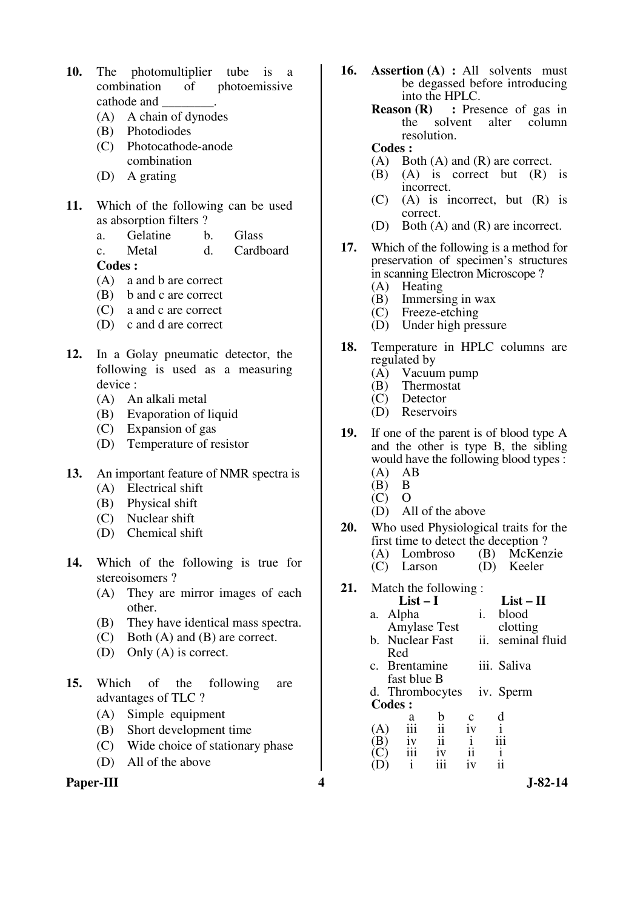- **10.** The photomultiplier tube is a combination of photoemissive cathode and \_\_\_\_\_\_\_\_.
	- (A) A chain of dynodes
	- (B) Photodiodes
	- (C) Photocathode-anode combination
	- (D) A grating
- **11.** Which of the following can be used as absorption filters ?
	- a. Gelatine b. Glass c. Metal d. Cardboard

- (A) a and b are correct
- (B) b and c are correct
- (C) a and c are correct
- (D) c and d are correct
- **12.** In a Golay pneumatic detector, the following is used as a measuring device :
	- (A) An alkali metal
	- (B) Evaporation of liquid
	- (C) Expansion of gas
	- (D) Temperature of resistor
- **13.** An important feature of NMR spectra is
	- (A) Electrical shift
	- (B) Physical shift
	- (C) Nuclear shift
	- (D) Chemical shift
- **14.** Which of the following is true for stereoisomers ?
	- (A) They are mirror images of each other.
	- (B) They have identical mass spectra.
	- (C) Both (A) and (B) are correct.
	- (D) Only (A) is correct.
- **15.** Which of the following are advantages of TLC ?
	- (A) Simple equipment
	- (B) Short development time
	- (C) Wide choice of stationary phase
	- (D) All of the above

**Paper-III 4 J-82-14**

- **16. Assertion (A) :** All solvents must be degassed before introducing  $\frac{1}{100}$  into the HPLC.<br>Reason (R) : Pres
	- **Reader 1** : Presence of gas in the solvent alter column alter column resolution.

# **Codes :**

- (A) Both (A) and (R) are correct.<br>(B) (A) is correct but (R)
- $(A)$  is correct but  $(R)$  is incorrect.
- (C) (A) is incorrect, but (R) is correct.
- (D) Both (A) and (R) are incorrect.
- **17.** Which of the following is a method for preservation of specimen's structures in scanning Electron Microscope ?
	- (A) Heating
	- (B) Immersing in wax  $(C)$  Freeze-etching
	- Freeze-etching
	- (D) Under high pressure
- **18.** Temperature in HPLC columns are regulated by<br>(A) Vacuu
	- (A) Vacuum pump<br>(B) Thermostat
	- (B) Thermostat
	- Detector
	- (D) Reservoirs
- **19.** If one of the parent is of blood type A and the other is type B, the sibling would have the following blood types :
	- $(A)$  AB<br> $(B)$  B
	- $(B)$  B<br>(C) O  $(C)$
	- (D) All of the above
- **20.** Who used Physiological traits for the first time to detect the deception ?<br>(A) Lombroso (B) McKen (B) McKenzie<br>(D) Keeler
	- $(C)$  Larson
- **21.** Match the following :
	- $List II$ a. Alpha Amylase Test i. blood clotting b. Nuclear Fast ii. seminal fluid
	- Red c. Brentamine fast blue B iii. Saliva
	- d. Thrombocytes iv. Sperm **Codes :**

|     | а   | b   | Ċ  | d   |
|-----|-----|-----|----|-----|
| (A) | iii | 11  | 1V |     |
| (B) | iv  | 11  |    | 111 |
| (C) | iii | 1V  | ii |     |
| (D) |     | 111 | 1V | ij  |
|     |     |     |    |     |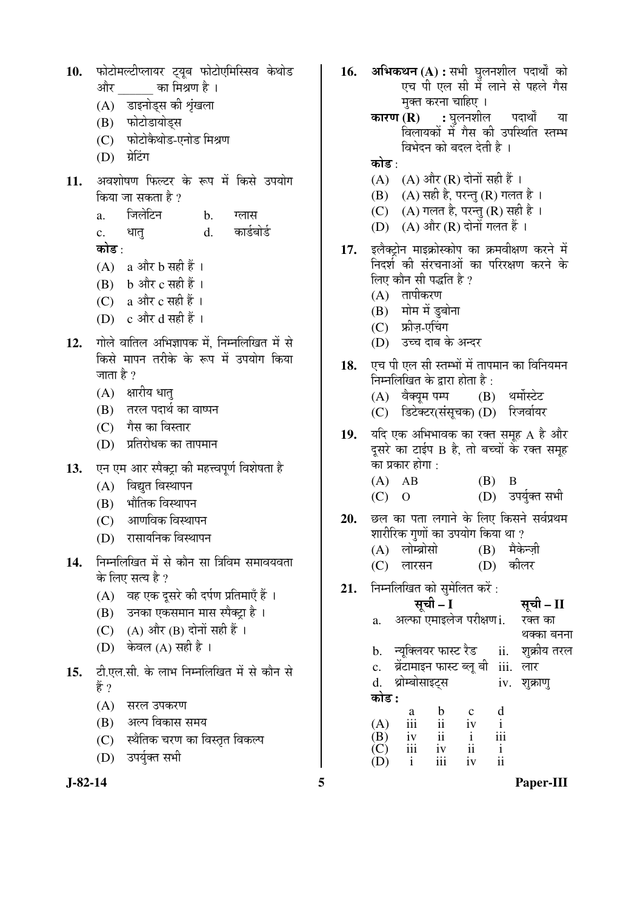10. फोटोमल्टीप्लायर ट्यूब फोटोएमिस्सिव केथोड और का मिश्रण है । (A) डाइनोड्स की श्रृंखला (B) फोटोडायोड्स (C) फोटोकैथोड-एनोड मिश्रण (D) ग्रेटिंग 11. अवशोषण फिल्टर के रूप में किसे उपयोग किया जा सकता है  $\overline{v}$ a. जिलेटिन b. ग्लास c. धात d. कार्डबोर्ड कोड : (A) a और  $b$  सही हैं ।  $(B)$  b और c सही हैं । (C) a और  $c$  सही हैं । (D)  $\int$   $c \cdot \frac{1}{2}$   $d \cdot \frac{1}{2}$   $d \cdot \frac{1}{2}$ 12. Tilor allard अभिज्ञापक में, निम्नलिखित में से किसे मापन तरीके के रूप में उपयोग किया जाता है  $\gamma$  $(A)$  क्षारीय धातु (B) तरल पदार्थ का वाष्पन  $(C)$  गैस का विस्तार (D) प्रतिरोधक का तापमान 13. **[**एन एम आर स्पैक्ट्रा की महत्त्वपूर्ण विशेषता है  $(A)$  विद्युत विस्थापन (B) भौतिक विस्थापन (C) आणविक विस्थापन (D) रासायनिक विस्थापन 14. निम्नलिखित में से कौन सा त्रिविम समावयवता के लिए सत्य है ? (A) वह एक दुसरे की दर्पण प्रतिमाएँ हैं । (B) उनका एकसमान मास स्पैक्ट़ा है । (C)  $(A)$  और  $(B)$  दोनों सही हैं । (D) केवल (A) सही है । 15. *टी.एल.सी.* के लाभ निम्नलिखित में से कौन से हें ? (A) सरल उपकरण (B) अल्प विकास समय (C) स्थैतिक चरण का विस्तृत विकल्प

(D) उपर्युक्त सभी



- 16. अभिकथन (A) : सभी घुलनशील पदार्थों को एच पी एल सी में लाने से पहले गैस मक्त करना चाहिए । **कारण (R) :** घुलनशील पदार्थों या
	- विलायकों में गैस की उपस्थिति स्तम्भ विभेदन को बदल देती है ।
	- कोड ·
		- (A)  $(A)$  और  $(R)$  दोनों सही हैं।
		- $(B)$   $(A)$  सही है, परन्तु  $(R)$  गलत है।
		- (C)  $(A)$  गलत है, परन्तु (R) सही है।
	- (D) (A) और (R) दोनों गलत हैं ।
- 17. इलैक्ट्रोन माइक्रोस्कोप का क्रमवीक्षण करने में निदर्श की संरचनाओं का परिरक्षण करने के लिए कौन सी पद्धति है ?
	- $(A)$  तापीकरण
	- (B) मोम में डुबोना
	- (C) फ्रीज़-एचिंग
	- (D) उच्च दाब के अन्दर
- 18. एच पी एल सी स्तम्भों में तापमान का विनियमन निम्नलिखित के द्वारा होता है :<br>(A) वैक्यम पम्प (B) थर्मोस्टेट
	- $(A)$  वैक्यम पम्प
	- (C) डिटेक्टर(संसुचक) (D) रिजर्वायर
- 19. यदि एक अभिभावक का रक्त समूह A है और दसरे का टाईप B है. तो बच्चों के रक्त समह का प्रकार होगा :
	- (A) AB (B) B
	- $(C)$  O  $(D)$  उपर्युक्त सभी
- 20. छल का पता लगाने के लिए किसने सर्वप्रथम शारीरिक गणों का उपयोग किया था ?
	- (A) लोम्ब्रोसो (B) मैकेन्जी (C) लारसन (D) कीलर
	-
- **21.** निम्नलिखित को सुमेलित करें :
	- ÃÖæ"Öß  **I** ÃÖæ"Öß  **II**
- a. अल्फा एमाइलेज परीक्षण i. रक्त का थक्का बनना b. न्यूक्लियर फास्ट रैड ii. शुक्रीय तरल c. ब्रेंटामाइन फास्ट ब्लू बी iii. लार d. थ्रोम्बोसाइट्स iv. शुक्राण् <u>कोड :</u> a b c d (A) iii ii iv i (B) iv ii i iii<br>(C) iii iv ii i  $(C)$  iii iv ii i<br> $(D)$  i iii iv ii
- 

 $(D)$ 

**J-82-14 5 Paper-III**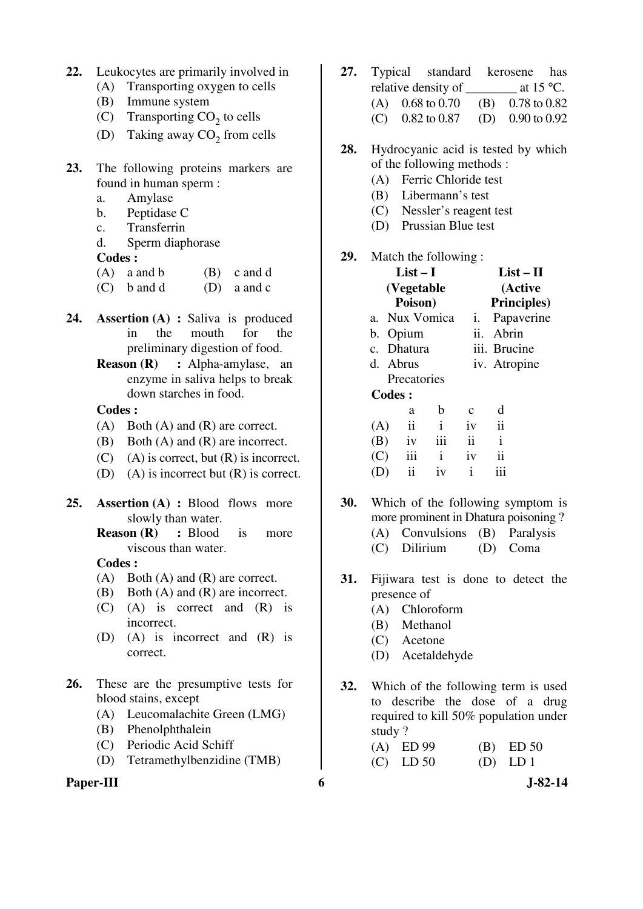- **22.** Leukocytes are primarily involved in
	- (A) Transporting oxygen to cells
	- (B) Immune system
- (C) Transporting  $CO_2$  to cells
- (D) Taking away  $CO_2$  from cells
- **23.** The following proteins markers are found in human sperm :
	- a. Amylase
	- b. Peptidase C
	- c. Transferrin
	- d. Sperm diaphorase
	- **Codes :**
	- $(A)$  a and b  $(B)$  c and d
	- $(C)$  b and d  $(D)$  a and c
- **24. Assertion (A) :** Saliva is produced in the mouth for the preliminary digestion of food.
	- **Reason (R) :** Alpha-amylase, an enzyme in saliva helps to break down starches in food.

- (A) Both (A) and (R) are correct.
- (B) Both (A) and (R) are incorrect.
- $(C)$  (A) is correct, but  $(R)$  is incorrect.
- (D) (A) is incorrect but (R) is correct.
- **25. Assertion (A) :** Blood flows more slowly than water.
	- **Reason (R) :** Blood is more viscous than water.

## **Codes :**

- (A) Both (A) and (R) are correct.
- (B) Both (A) and (R) are incorrect.
- (C) (A) is correct and (R) is incorrect.
- (D) (A) is incorrect and (R) is correct.
- **26.** These are the presumptive tests for blood stains, except
	- (A) Leucomalachite Green (LMG)
	- (B) Phenolphthalein
	- (C) Periodic Acid Schiff
	- (D) Tetramethylbenzidine (TMB)

### Paper-III 6 J-82-14

- **27.** Typical standard kerosene has relative density of at 15 °C. (A) 0.68 to 0.70 (B) 0.78 to 0.82 (C) 0.82 to 0.87 (D) 0.90 to 0.92
- **28.** Hydrocyanic acid is tested by which of the following methods :
	- (A) Ferric Chloride test
	- (B) Libermann's test
	- (C) Nessler's reagent test
	- (D) Prussian Blue test

### **29.** Match the following :

|               | $List-I$      |              |             | $List-II$           |
|---------------|---------------|--------------|-------------|---------------------|
|               | (Vegetable    |              |             | (Active             |
|               | Poison)       |              |             | <b>Principles</b> ) |
| $a_{-}$       | Nux Vomica    |              | i.          | Papaverine          |
|               | b. Opium      |              | ii.         | Abrin               |
|               | c. Dhatura    |              |             | iii. Brucine        |
|               | d. Abrus      |              |             | iv. Atropine        |
|               | Precatories   |              |             |                     |
| <b>Codes:</b> |               |              |             |                     |
|               | a             | b            | $\mathbf c$ | d                   |
| (A)           | $\mathbf{ii}$ | $\mathbf{i}$ | iv          | ii                  |
| (B)           | iv            | iii          | ii          | $\mathbf{i}$        |
| (C)           | iii           | i            | iv          | ii                  |
|               | ii            | iv           | i           | 111                 |

- **30.** Which of the following symptom is more prominent in Dhatura poisoning ? (A) Convulsions (B) Paralysis (C) Dilirium (D) Coma
- **31.** Fijiwara test is done to detect the presence of
	- (A) Chloroform
	- (B) Methanol
	- (C) Acetone
	- (D) Acetaldehyde
- **32.** Which of the following term is used to describe the dose of a drug required to kill 50% population under study ?

| $(A)$ ED 99 | $(B)$ ED 50 |
|-------------|-------------|
| $(C)$ LD 50 | $(D)$ LD 1  |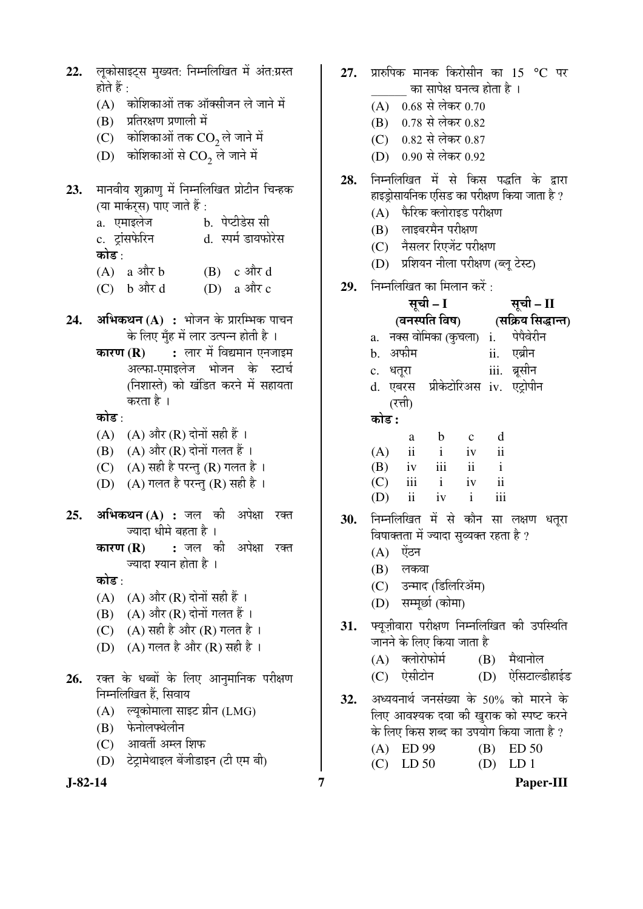- 22. लकोसाइट्स मुख्यत: निम्नलिखित में अंत:ग्रस्त होते हैं $\cdot$ 
	- $(A)$  कोशिकाओं तक ऑक्सीजन ले जाने में
	- (B) प्रतिरक्षण प्रणाली में
	- (C) कोशिकाओं तक  $CO<sub>2</sub>$ ले जाने में
- (D)  $\,$  कोशिकाओं से  $\rm CO}_{2}$  ले जाने में
- 23. मानवीय शक्राण में निम्नलिखित प्रोटीन चिन्हक (या मार्कर्*स*) पाए जाते हैं : a. एमाइलेज b. पेप्टीडेस सी c. ट्रांसफेरिन d. स्पर्म डायफोरेस कोड :  $(A)$  a  $\operatorname{aff} b$   $(B)$  c  $\operatorname{aff} d$ 
	- $(C)$  b और d  $(D)$  a और c
- **24. अभिकथन (A) :** भोजन के प्रारम्भिक पाचन के लिए मुँह में लार उत्पन्न होती है ।
	- **कारण (R) :** लार में विद्यमान एनजाइम अल्फा-एमाइलेज भोजन के स्टार्च (निशास्ते) को खंडित करने में सहायता करता है ।

### कोड :

- $(A)$   $(A)$  और  $(R)$  दोनों सही हैं।
- $(B)$   $(A)$  और  $(R)$  दोनों गलत हैं।
- $(C)$   $(A)$  सही है परन्तु  $(R)$  गलत है।
- $(D)$   $(A)$  गलत है परन्त  $(R)$  सही है ।
- **25. अभिकथन (A) :** जल की अपेक्षा रक्त ज्यादा धीमे बहता है ।
	- **कारण (R) :** जल की अपेक्षा रक्त ज्यादा श्यान होता है ।

कोड :

- $(A)$   $(A)$  और  $(R)$  दोनों सही हैं ।
- $(B)$   $(A)$  और  $(R)$  दोनों गलत हैं।
- (C)  $(A)$  सही है और  $(R)$  गलत है।
- (D)  $(A)$  गलत है और  $(R)$  सही है।
- 26. रक्त के धब्बों के लिए आनुमानिक परीक्षण निम्नलिखित हैं, सिवाय
	- (A) ल्यूकोमाला साइट ग्रीन (LMG)
	- (B) फेनोलफ्थेलीन
	- (C) आवर्ती अम्ल शिफ
	- (D) टेट्रामेथाइल बेंजीडाइन (टी एम बी)

- 27. प्रारुपिक मानक किरोसीन का 15 °C पर का सापेक्ष घनत्व होता है ।
	- (A)  $0.68$  से लेकर 0.70
	- (B) 0.78 से लेकर 0.82
	- (C) 0.82 से लेकर 0.87
	- (D) 0.90 से लेकर 0.92
- 28. निम्नलिखित में से किस पद्धति के द्वारा हाइडोसायनिक एसिड का परीक्षण किया जाता है ?
	- (A) फैरिक क्लोराइड परीक्षण
	- (B) लाइबरमैन परीक्षण
	- (C) नैसलर रिएजेंट परीक्षण
	- (D) प्रशियन नीला परीक्षण (ब्लू टेस्ट)
- **29.** निम्नलिखित का मिलान करें :

|     |          |            | सूची – I                                |                | सूची – II |                                      |  |
|-----|----------|------------|-----------------------------------------|----------------|-----------|--------------------------------------|--|
|     |          |            |                                         |                |           | (वनस्पति विष) (सक्रिय सिद्धान्त)     |  |
|     |          |            |                                         |                |           | a. नक्स वोमिका (कुचला) i. पेपैवेरीन  |  |
|     |          | b. अफीम    |                                         |                |           | ii. एब्रीन                           |  |
|     | c. धतूरा |            |                                         |                |           | iii. ब्रूसीन                         |  |
|     |          |            |                                         |                |           | d. एबरस प्रीकेटोरिअस iv. एट्रोपीन    |  |
|     |          | (रत्ती)    |                                         |                |           |                                      |  |
|     | कोड :    |            |                                         |                |           |                                      |  |
|     |          | a          | $\mathbf{b}$                            | $\mathbf{c}$ d |           |                                      |  |
|     |          |            | $(A)$ ii iv ii                          |                |           |                                      |  |
|     |          |            | $(B)$ iv iii ii i                       |                |           |                                      |  |
|     |          |            | $(C)$ iii i iv ii                       |                |           |                                      |  |
|     |          |            | (D) ii iv $i$                           |                | iii       |                                      |  |
| 30. |          |            |                                         |                |           | निम्नलिखित में से कौन सा लक्षण धतूरा |  |
|     |          |            | विषाक्तता में ज्यादा सुव्यक्त रहता है ? |                |           |                                      |  |
|     |          | (A) ऐंठन   |                                         |                |           |                                      |  |
|     |          | $(B)$ लकवा |                                         |                |           |                                      |  |
|     |          |            | (C) उन्माद (डिलिरिॲम)                   |                |           |                                      |  |

- (D) सम्मर्छा (कोमा)
- 31. फ्यूज़ीवारा परीक्षण निम्नलिखित की उपस्थिति जानने के लिए किया जाता है
	- (A) क्लोरोफोर्म (B) मैथानोल
	- (C) ऐसीटोन (D) ऐसिटाल्डीहाईड
- 32. अध्ययनार्थ जनसंख्या के 50% को मारने के लिए आवश्यक दवा की खुराक को स्पष्ट करने के लिए किस शब्द का उपयोग किया जाता है ?
	- (A) ED 99 (B) ED 50 (C) LD 50 (D) LD 1
- **J-82-14 7 Paper-III**
-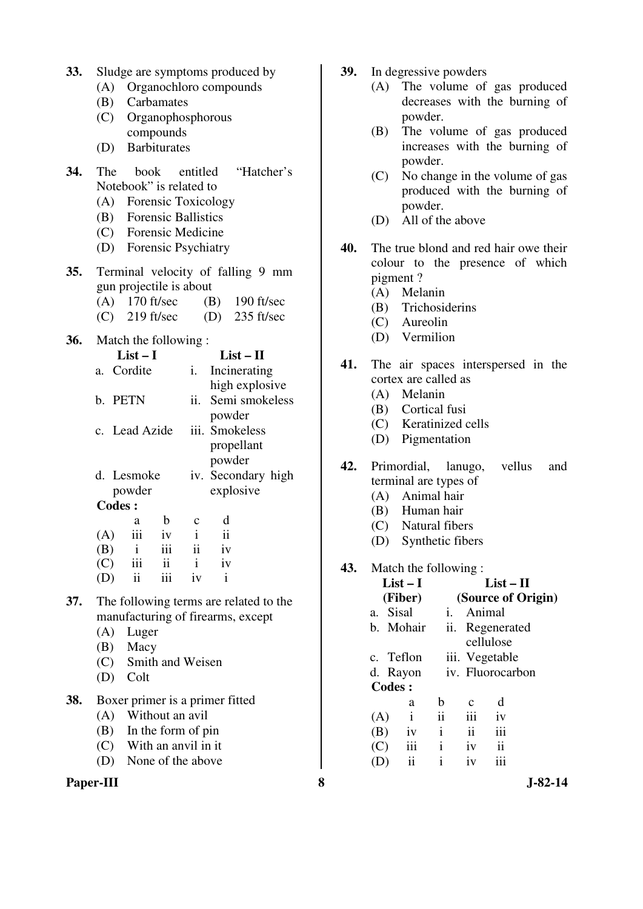| 33. |  |  | Sludge are symptoms produced by |
|-----|--|--|---------------------------------|
|-----|--|--|---------------------------------|

- (A) Organochloro compounds
- (B) Carbamates
- (C) Organophosphorous compounds
- (D) Barbiturates
- **34.** The book entitled "Hatcher's Notebook" is related to
	- (A) Forensic Toxicology
	- (B) Forensic Ballistics
	- (C) Forensic Medicine
	- (D) Forensic Psychiatry
- **35.** Terminal velocity of falling 9 mm gun projectile is about
	- (A) 170 ft/sec (B) 190 ft/sec
	- (C) 219 ft/sec (D) 235 ft/sec
- **36.** Match the following :

|     |              |                          | $\mathbf{i}$ .                                                   | Incinerating        |                                                            |
|-----|--------------|--------------------------|------------------------------------------------------------------|---------------------|------------------------------------------------------------|
|     |              |                          |                                                                  | high explosive      |                                                            |
|     |              |                          |                                                                  | Semi smokeless      |                                                            |
|     |              |                          |                                                                  | powder              |                                                            |
|     |              |                          |                                                                  |                     |                                                            |
|     |              |                          |                                                                  | propellant          |                                                            |
|     |              |                          |                                                                  | powder              |                                                            |
|     |              |                          |                                                                  |                     |                                                            |
|     |              |                          |                                                                  | explosive           |                                                            |
|     |              |                          |                                                                  |                     |                                                            |
|     | a            | b                        | C                                                                | d                   |                                                            |
| (A) | iii          | iv                       | $\mathbf{i}$                                                     | $\ddot{\mathbf{i}}$ |                                                            |
| (B) | $\mathbf{i}$ | iii                      | ii -                                                             | iv                  |                                                            |
| (C) |              | ii                       | $\mathbf{i}$                                                     | iv                  |                                                            |
|     |              | b. PETN<br><b>Codes:</b> | List $-1$<br>a. Cordite<br>c. Lead Azide<br>d. Lesmoke<br>powder |                     | $List - II$<br>ii.<br>iii. Smokeless<br>iv. Secondary high |

- (D) ii iii iv i
- **37.** The following terms are related to the manufacturing of firearms, except
	- (A) Luger
	- (B) Macy
	- (C) Smith and Weisen
	- (D) Colt
- **38.** Boxer primer is a primer fitted
	- (A) Without an avil
	- (B) In the form of pin
	- (C) With an anvil in it
	- (D) None of the above
- **Paper-III 8 J-82-14**
- **39.** In degressive powders
	- (A) The volume of gas produced decreases with the burning of powder.
	- (B) The volume of gas produced increases with the burning of powder.
	- (C) No change in the volume of gas produced with the burning of powder.
	- (D) All of the above
- **40.** The true blond and red hair owe their colour to the presence of which pigment ?
	- (A) Melanin
	- (B) Trichosiderins
	- (C) Aureolin
	- (D) Vermilion
- **41.** The air spaces interspersed in the cortex are called as
	- (A) Melanin
	- (B) Cortical fusi
	- (C) Keratinized cells
	- (D) Pigmentation
- **42.** Primordial, lanugo, vellus and terminal are types of
	- (A) Animal hair
	- (B) Human hair
	- (C) Natural fibers
	- (D) Synthetic fibers

#### **43.** Match the following : **List – I**

|     |               | List $-$ I   |              | List – H           |                  |  |  |  |  |
|-----|---------------|--------------|--------------|--------------------|------------------|--|--|--|--|
|     |               | (Fiber)      |              | (Source of Origin) |                  |  |  |  |  |
|     | a. Sisal      |              | i.           | Animal             |                  |  |  |  |  |
|     |               | b. Mohair    |              |                    | ii. Regenerated  |  |  |  |  |
|     |               |              |              |                    | cellulose        |  |  |  |  |
|     |               | c. Teflon    |              |                    | iii. Vegetable   |  |  |  |  |
|     |               | d. Rayon     |              |                    | iv. Fluorocarbon |  |  |  |  |
|     | <b>Codes:</b> |              |              |                    |                  |  |  |  |  |
|     |               | a            | b            | с                  | d                |  |  |  |  |
| (A) |               | $\mathbf{i}$ | ii           | iii                | iv               |  |  |  |  |
| (B) |               | iv           | $\mathbf{i}$ | $\mathbf{ii}$      | iii              |  |  |  |  |
| (C) |               | iii          | $\mathbf{i}$ | iv                 | $\overline{11}$  |  |  |  |  |
|     |               | ii           | i            | iv                 | iii              |  |  |  |  |
|     |               |              |              |                    |                  |  |  |  |  |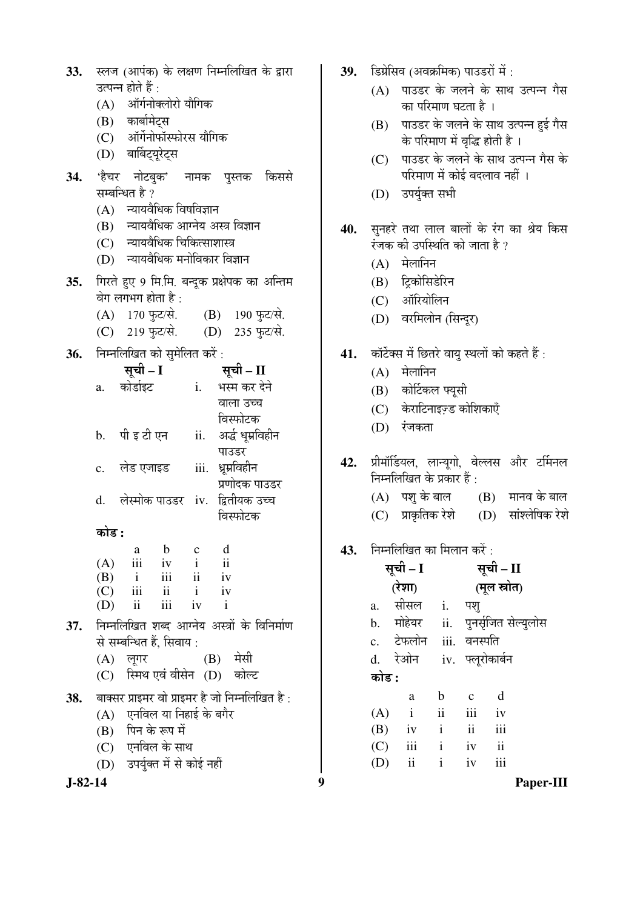| <b>33.</b> | स्लज (आपंक) के लक्षण निम्नलिखित के द्वारा                                       |  |  |  |  |  |  |  |  |  |
|------------|---------------------------------------------------------------------------------|--|--|--|--|--|--|--|--|--|
|            | उत्पन्न होते हैं :                                                              |  |  |  |  |  |  |  |  |  |
|            | (A) ऑर्गनोक्लोरो यौगिक                                                          |  |  |  |  |  |  |  |  |  |
|            | (B) कार्बामेट्स                                                                 |  |  |  |  |  |  |  |  |  |
|            | (C) ऑर्गेनोफॉस्फोरस यौगिक                                                       |  |  |  |  |  |  |  |  |  |
|            | (D) बार्बिट्यूरेट्स                                                             |  |  |  |  |  |  |  |  |  |
|            | 34. 'हैचर नोटबुक' नामक पुस्तक किससे                                             |  |  |  |  |  |  |  |  |  |
|            | सम्बन्धित है ?                                                                  |  |  |  |  |  |  |  |  |  |
|            | (A) न्यायवैधिक विषविज्ञान                                                       |  |  |  |  |  |  |  |  |  |
|            | (B) न्यायवैधिक आग्नेय अस्त्र विज्ञान                                            |  |  |  |  |  |  |  |  |  |
|            | (C) न्यायवैधिक चिकित्साशास्त्र                                                  |  |  |  |  |  |  |  |  |  |
|            | (D) न्यायवैधिक मनोविकार विज्ञान                                                 |  |  |  |  |  |  |  |  |  |
| 35.        | गिरते हुए 9 मि.मि. बन्दूक प्रक्षेपक का अन्तिम                                   |  |  |  |  |  |  |  |  |  |
|            | वेग लगभग होता है :                                                              |  |  |  |  |  |  |  |  |  |
|            | (A) 170 फुट/से. (B) 190 फुट/से.                                                 |  |  |  |  |  |  |  |  |  |
|            | (C) 219 फुट/से. (D) 235 फुट/से.                                                 |  |  |  |  |  |  |  |  |  |
|            | 36. निम्नलिखित को सुमेलित करें:                                                 |  |  |  |  |  |  |  |  |  |
|            | सूची – I सूची – II                                                              |  |  |  |  |  |  |  |  |  |
|            | a. कोर्डाइट<br>i.     भस्म कर देने                                              |  |  |  |  |  |  |  |  |  |
|            | वाला उच्च                                                                       |  |  |  |  |  |  |  |  |  |
|            | विस्फोटक                                                                        |  |  |  |  |  |  |  |  |  |
|            | ii. अर्द्ध धूम्रविहीन<br>b. पी इ टी एन                                          |  |  |  |  |  |  |  |  |  |
|            | पाउडर                                                                           |  |  |  |  |  |  |  |  |  |
|            | c. लेड एजाइड iii. ध्रूम्रविहीन                                                  |  |  |  |  |  |  |  |  |  |
|            | प्रणोदक पाउडर                                                                   |  |  |  |  |  |  |  |  |  |
|            | d. लेस्मोक पाउडर iv. द्वितीयक उच्च                                              |  |  |  |  |  |  |  |  |  |
|            | विस्फोटक                                                                        |  |  |  |  |  |  |  |  |  |
|            | कोड :                                                                           |  |  |  |  |  |  |  |  |  |
|            | $b \quad c$<br>d<br>a<br>iii                                                    |  |  |  |  |  |  |  |  |  |
|            | (A)<br>iv<br>$\mathbf{i}$<br>$\overline{\mathbf{u}}$<br>iii ii<br>$(B)$ i<br>iv |  |  |  |  |  |  |  |  |  |
|            | iii<br>$ii$ $i$<br>(C)<br>iv                                                    |  |  |  |  |  |  |  |  |  |
|            | iii<br>ii<br>iv<br>(D)<br>$\mathbf{i}$                                          |  |  |  |  |  |  |  |  |  |
| 37.        | निम्नलिखित शब्द आग्नेय अस्त्रों के विनिर्माण                                    |  |  |  |  |  |  |  |  |  |
|            | से सम्बन्धित हैं, सिवाय :                                                       |  |  |  |  |  |  |  |  |  |
|            | (B) मेसी<br>(A) लूगर                                                            |  |  |  |  |  |  |  |  |  |
|            | (C) स्मिथ एवं वीसेन (D) कोल्ट                                                   |  |  |  |  |  |  |  |  |  |
| 38.        | बाक्सर प्राइमर वो प्राइमर है जो निम्नलिखित है:                                  |  |  |  |  |  |  |  |  |  |
|            | (A) एनविल या निहाई के बगैर                                                      |  |  |  |  |  |  |  |  |  |
|            | (B) पिन के रूप में                                                              |  |  |  |  |  |  |  |  |  |
|            | (C) एनविल के साथ                                                                |  |  |  |  |  |  |  |  |  |
|            | (D) उपर्युक्त में से कोई नहीं                                                   |  |  |  |  |  |  |  |  |  |
|            |                                                                                 |  |  |  |  |  |  |  |  |  |

- 39. Stalka (अवक्रमिक) पाउडरों में :
	- $(A)$  पाउडर के जलने के साथ उत्पन्न गैस का परिमाण घटता है ।
	- (B) पाउडर के जलने के साथ उत्पन्न हुई गैस के परिमाण में वृद्धि होती है ।
	- (C) पाउडर के जलने के साथ उत्पन्न गैस के <u>परिमाण में कोई बदलाव नहीं ।</u>
	- (D) उपर्युक्त सभी
- 40. सुनहरे तथा लाल बालों के रंग का श्रेय किस रंजक की उपस्थिति को जाता है ?
	- $(A)$  मेलानिन
	- (B) ट्रिकोसिडेरिन
	- (C) ऑरियोलिन
	- (D) वरमिलोन (सिन्दूर)
- 41. कॉर्टेक्स में छितरे वायु स्थलों को कहते हैं :
	- $(A)$  मेलानिन
	- $(B)$  कोर्टिकल फ्यूसी
	- (C) केराटिनाइज़्ड कोशिकाएँ
	- (D) रंजकता
- 42. प्रीमॉर्डियल, लान्यूगो, वेल्लस और टर्मिनल निम्नलिखित के प्रकार हैं :
	- $(A)$  पशु के बाल  $(B)$  मानव के बाल
	- $(C)$  प्राकृतिक रेशे  $(D)$  सांश्लेषिक रेशे

# **43.** • निम्नलिखित का मिलान करें :

|       | सूची – I                 |               | सूची – II                |                      |  |
|-------|--------------------------|---------------|--------------------------|----------------------|--|
|       | (रेशा)                   |               |                          | (मूल स्रोत)          |  |
| a.    | सीसल                     | i.            | पश्                      |                      |  |
|       | b. मोहेयर                | ii.           |                          | पुनर्सृजित सेल्युलोस |  |
|       | c. टेफलोन iii. वनस्पति   |               |                          |                      |  |
|       | d. रेओन                  |               |                          | iv. फ्लूरोकार्बन     |  |
| कोड : |                          |               |                          |                      |  |
|       | a                        | b             | $\mathbf c$              | d                    |  |
| (A)   | $\mathbf{i}$             | $\mathbf{ii}$ | iii                      | iv                   |  |
|       | $(B)$ iv                 | $\mathbf{i}$  | $\overline{\mathbf{ii}}$ | iii                  |  |
| (C)   | iii                      | $\mathbf{i}$  | iv                       | ii                   |  |
| (D)   | $\overline{\textbf{ii}}$ | $\mathbf{i}$  | iv                       | iii                  |  |
|       |                          |               |                          |                      |  |

**J-82-14 9 Paper-III**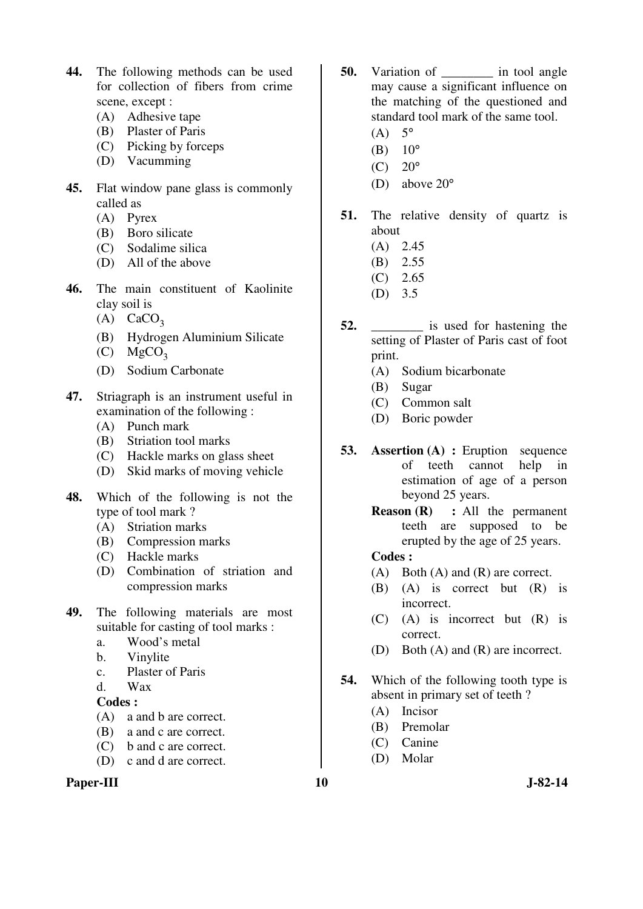- **44.** The following methods can be used for collection of fibers from crime scene, except :
	- (A) Adhesive tape
	- (B) Plaster of Paris
	- (C) Picking by forceps
	- (D) Vacumming
- **45.** Flat window pane glass is commonly called as
	- (A) Pyrex
	- (B) Boro silicate
	- (C) Sodalime silica
	- (D) All of the above
- **46.** The main constituent of Kaolinite clay soil is
	- $(A)$  CaCO<sub>3</sub>
	- (B) Hydrogen Aluminium Silicate
	- $(C)$  MgCO<sub>3</sub>
	- (D) Sodium Carbonate
- **47.** Striagraph is an instrument useful in examination of the following :
	- (A) Punch mark
	- (B) Striation tool marks
	- (C) Hackle marks on glass sheet
	- (D) Skid marks of moving vehicle
- **48.** Which of the following is not the type of tool mark ?
	- (A) Striation marks
	- (B) Compression marks
	- (C) Hackle marks
	- (D) Combination of striation and compression marks
- **49.** The following materials are most suitable for casting of tool marks :
	- a. Wood's metal
	- b. Vinylite
	- c. Plaster of Paris
	- d. Wax

- (A) a and b are correct.
- (B) a and c are correct.
- (C) b and c are correct.
- (D) c and d are correct.

### Paper-III **10** J-82-14

- **50.** Variation of **a** in tool angle may cause a significant influence on the matching of the questioned and standard tool mark of the same tool.
	- $(A)$  5°
	- (B)  $10^{\circ}$
	- (C)  $20^{\circ}$
	- (D) above 20°
- **51.** The relative density of quartz is about
	- (A) 2.45
	- (B) 2.55
	- (C) 2.65
	- (D) 3.5
- **52. is used for hastening the** setting of Plaster of Paris cast of foot print.
	- (A) Sodium bicarbonate
	- (B) Sugar
	- (C) Common salt
	- (D) Boric powder
- **53. Assertion (A) :** Eruption sequence of teeth cannot help in estimation of age of a person beyond 25 years.
	- **Reason (R) :** All the permanent teeth are supposed to be erupted by the age of 25 years.

### **Codes :**

- (A) Both (A) and (R) are correct.
- (B) (A) is correct but (R) is incorrect.
- (C) (A) is incorrect but (R) is correct.
- (D) Both (A) and (R) are incorrect.
- **54.** Which of the following tooth type is absent in primary set of teeth ?
	- (A) Incisor
	- (B) Premolar
	- (C) Canine
	- (D) Molar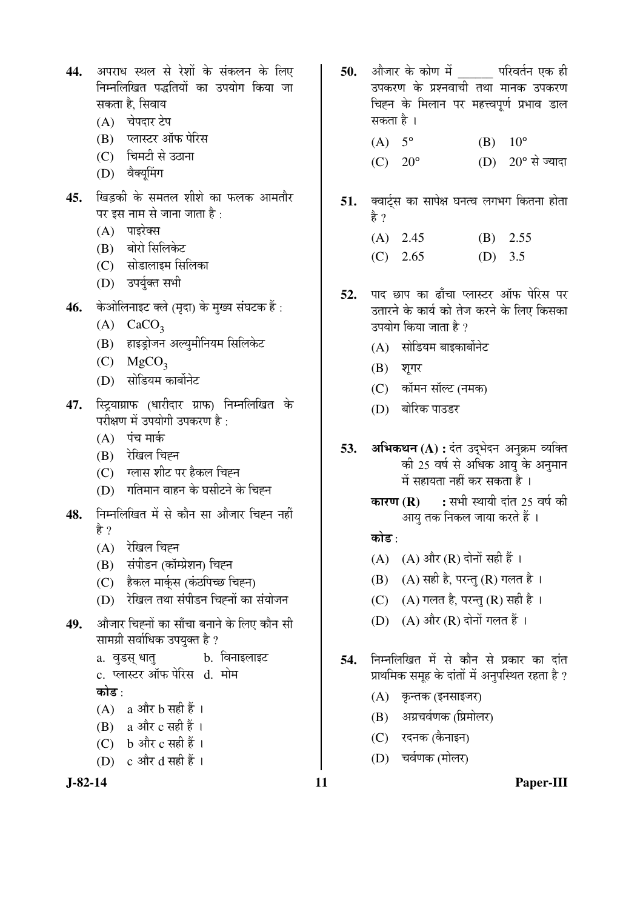| 44. अपराध स्थल से रेशों के संकलन के लिए |  |
|-----------------------------------------|--|
| निम्नलिखित पद्धतियों का उपयोग किया जा   |  |
| सकता है, सिवाय                          |  |

- (A) चेपदार टेप
- (B) प्लास्टर ऑफ पेरिस
- $(C)$  चिमटी से उठाना
- (D) वैक्यूमिंग
- 45. खिडकी के समतल शीशे का फलक आमतौर पर इस नाम से जाना जाता है:
	- $(A)$  पाइरेक्स
	- (B) बोरो सिलिकेट
	- (C) सोडालाइम सिलिका
	- (D) उपर्यक्त सभी
- 46. केओलिनाइट क्ले (मृदा) के मुख्य संघटक हैं:
	- $(A)$  CaCO<sub>3</sub>
	- (B) हाइड़ोजन अल्युमीनियम सिलिकेट
	- $(C)$  MgCO<sub>3</sub>
	- (D) सोडियम कार्बोनेट
- 47. स्ट्याग्राफ (धारीदार ग्राफ) निम्नलिखित के परीक्षण में उपयोगी उपकरण है:
	- $(A)$  पंच मार्क
	- $(B)$  रेखिल चिह्न
	- (C) ग्लास शीट पर हैकल चिह्न
	- (D) गतिमान वाहन के घसीटने के चिह्न
- 48. निम्नलिखित में से कौन सा औजार चिह्न नहीं हे ?
	- $(A)$  रेखिल चिह्न
	- (B) संपीडन (कॉम्प्रेशन) चिह्न
	- (C) हैकल मार्कुस (कंठपिच्छ चिह्न)
	- (D) रेखिल तथा संपीडन चिह्नों का संयोजन
- 49. औजार चिह्नों का साँचा बनाने के लिए कौन सी सामग्री सर्वाधिक उपयुक्त है ?
	- a. वुडस् धातु b. विनाइलाइट c. प्लास्टर ऑफ पेरिस d. मोम कोड $\cdot$
	- $(A)$  a और b सही हैं।

```
(B) a और c सही हैं ।
```

```
(C) b और c सही हैं।
```
(D)  $\,$  c और d सही हैं ।

- 50. औजार के कोण में परिवर्तन एक ही उपकरण के प्रश्नवाची तथा मानक उपकरण चिह्न के मिलान पर महत्त्वपर्ण प्रभाव डाल सकता है । (A)  $5^{\circ}$  (B)  $10^{\circ}$ 
	- $(C)$  20° (D) 20° से ज्यादा
- 51. क्वार्ट्स का सापेक्ष घनत्व लगभग कितना होता हे ?
	- (A) 2.45 (B) 2.55  $(C)$  2.65 (D) 3.5
- 52. पाद छाप का ताँचा प्लास्टर ऑफ पेरिस पर उतारने के कार्य को तेज करने के लिए किसका उपयोग किया जाता है ?
	- $(A)$  सोडियम बाइकार्बोनेट
	- $(B)$  शूगर
	- (C) कॉमन सॉल्ट (नमक)
	- (D) बोरिक पाउडर
- 53. **अभिकथन** (A) : दंत उदुभेदन अनुक्रम व्यक्ति की 25 वर्ष से अधिक आयु के अनुमान में सहायता नहीं कर सकता है)।
	- **कारण (R) :** सभी स्थायी दांत 25 वर्ष की आय तक निकल जाया करते हैं ।

## कोड़ $\cdot$

- $(A)$   $(A)$  और  $(R)$  दोनों सही हैं।
- $(B)$   $(A)$  सही है, परन्तु  $(R)$  गलत है।
- (C)  $(A)$  गलत है, परन्तु (R) सही है।
- (D)  $(A)$  और  $(R)$  दोनों गलत हैं।
- 54. निम्नलिखित में से कौन से प्रकार का दांत प्राथमिक समूह के दांतों में अनुपस्थित रहता है ?
	- (A) कृन्तक (इनसाइजर)
	- (B) अग्रचर्वणक (प्रिमोलर)
	- (C) रदनक (कैनाइन)
	- (D) चर्वणक (मोलर)
- **J-82-14 11 Paper-III**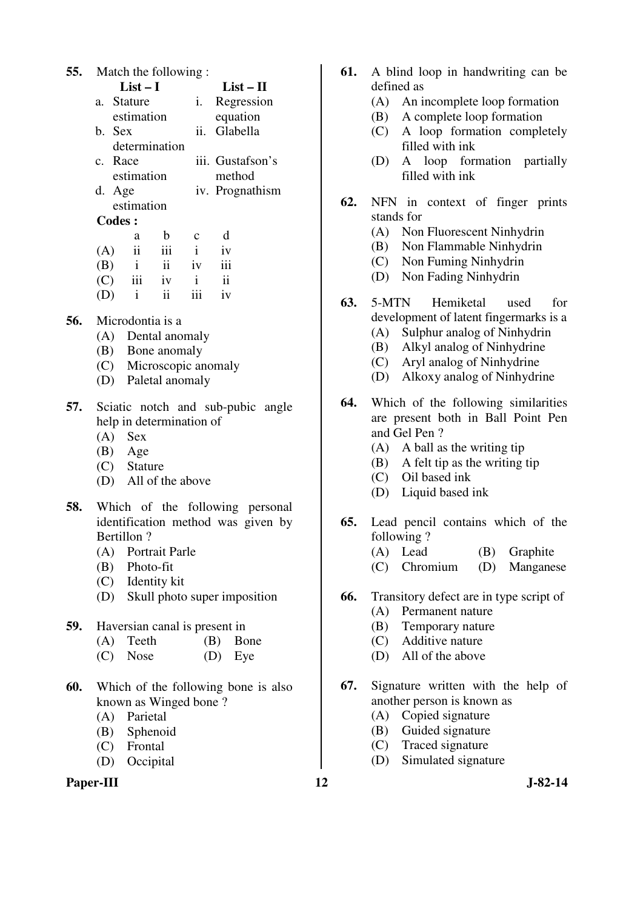| 55.           | Match the following: |         |                          |                     |              |                     |  |
|---------------|----------------------|---------|--------------------------|---------------------|--------------|---------------------|--|
|               | $List-I$             |         |                          |                     |              | $List - II$         |  |
|               |                      |         | a. Stature               |                     | 1.           | Regression          |  |
|               |                      |         | estimation               |                     |              | equation            |  |
|               |                      | b. Sex  |                          |                     | ii.          | Glabella            |  |
|               |                      |         |                          | determination       |              |                     |  |
|               |                      | c. Race |                          |                     |              | iii. Gustafson's    |  |
|               |                      |         | estimation               |                     |              | method              |  |
|               |                      | d. Age  |                          |                     |              | iv. Prognathism     |  |
|               |                      |         | estimation               |                     |              |                     |  |
| <b>Codes:</b> |                      |         |                          |                     |              |                     |  |
|               |                      |         | a                        | $\mathbf b$         | $\mathbf c$  | d                   |  |
|               | (A)                  |         | $\overline{\textbf{ii}}$ | iii                 | $\mathbf{i}$ | iv                  |  |
|               | (B)                  |         | $\mathbf{i}$             | $\ddot{\mathbf{i}}$ | iv           | iii                 |  |
|               | (C)                  |         | iii                      | iv                  | $\mathbf{i}$ | $\ddot{\mathbf{i}}$ |  |
|               | (D)                  |         | $\mathbf{i}$             | ii                  | iii          | iv                  |  |

- **56.** Microdontia is a
	- (A) Dental anomaly
	- (B) Bone anomaly
	- (C) Microscopic anomaly
	- (D) Paletal anomaly
- **57.** Sciatic notch and sub-pubic angle help in determination of
	- (A) Sex
	- (B) Age
	- (C) Stature
	- (D) All of the above
- **58.** Which of the following personal identification method was given by Bertillon ?
	- (A) Portrait Parle
	- (B) Photo-fit
	- (C) Identity kit
	- (D) Skull photo super imposition
- **59.** Haversian canal is present in
	- (A) Teeth (B) Bone
	- (C) Nose (D) Eye
- **60.** Which of the following bone is also known as Winged bone ?
	- (A) Parietal
	- (B) Sphenoid
	- (C) Frontal
	- (D) Occipital

### Paper-III **12** J-82-14

- **61.** A blind loop in handwriting can be defined as
	- (A) An incomplete loop formation
	- (B) A complete loop formation
	- (C) A loop formation completely filled with ink
	- (D) A loop formation partially filled with ink
- **62.** NFN in context of finger prints stands for
	- (A) Non Fluorescent Ninhydrin
	- (B) Non Flammable Ninhydrin
	- (C) Non Fuming Ninhydrin
	- (D) Non Fading Ninhydrin
- **63.** 5-MTN Hemiketal used for development of latent fingermarks is a
	- (A) Sulphur analog of Ninhydrin
	- (B) Alkyl analog of Ninhydrine
	- (C) Aryl analog of Ninhydrine
	- (D) Alkoxy analog of Ninhydrine
- **64.** Which of the following similarities are present both in Ball Point Pen and Gel Pen ?
	- (A) A ball as the writing tip
	- (B) A felt tip as the writing tip
	- (C) Oil based ink
	- (D) Liquid based ink
- **65.** Lead pencil contains which of the following ?
	- (A) Lead (B) Graphite
	- (C) Chromium (D) Manganese
- **66.** Transitory defect are in type script of
	- (A) Permanent nature
	- (B) Temporary nature
	- (C) Additive nature
	- (D) All of the above
- **67.** Signature written with the help of another person is known as
	- (A) Copied signature
	- (B) Guided signature
	- (C) Traced signature
	- (D) Simulated signature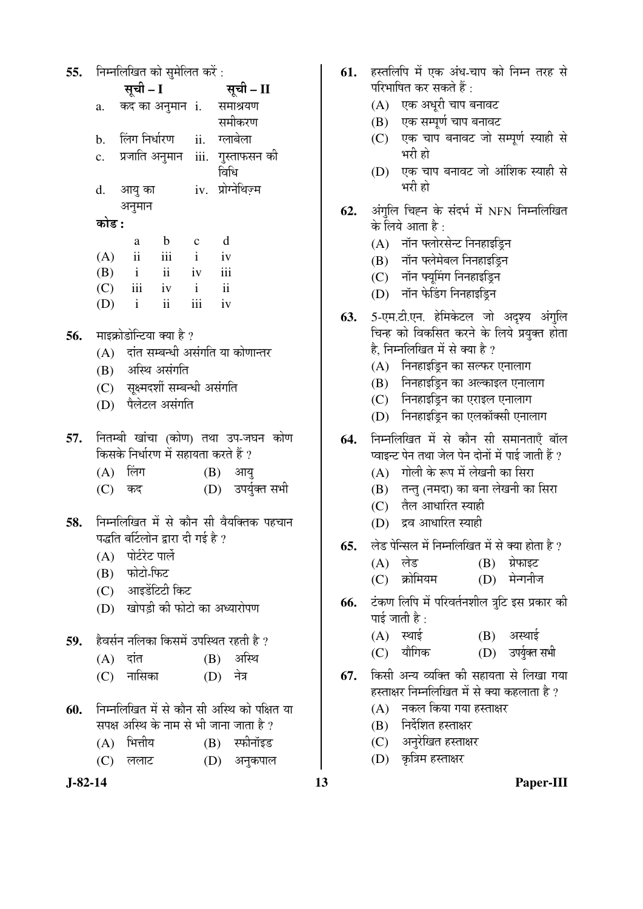| 55. | निम्नलिखित को सुमेलित करें: |  |  |
|-----|-----------------------------|--|--|
|     |                             |  |  |

| ັບ• |       |              |               |              |                                     |  |
|-----|-------|--------------|---------------|--------------|-------------------------------------|--|
|     |       | सूची - I     |               |              | सूची – II                           |  |
|     | a.    |              |               |              | कद का अनुमान <b>i</b> . समाश्रयण    |  |
|     |       |              |               |              | समीकरण                              |  |
|     |       |              |               |              | b. लिंग-निर्धारण ii. ग्लाबेला       |  |
|     |       |              |               |              | c. प्रजाति अनुमान iii. गुस्ताफसन की |  |
|     |       |              |               |              | विधि                                |  |
|     |       | d. आयु का    |               |              | iv. प्रोग्नेथिज़्म                  |  |
|     |       | अनुमान       |               |              |                                     |  |
|     | कोड : |              |               |              |                                     |  |
|     |       | a            | $\mathbf b$   | $\mathbf c$  | d                                   |  |
|     |       | $(A)$ ii     | iii           | $\mathbf{i}$ | iv                                  |  |
|     |       | $(B)$ i ii   |               | iv           | iii                                 |  |
|     |       | $(C)$ iii iv |               | $\mathbf{i}$ | $\ddot{\rm ii}$                     |  |
|     | (D)   | $\mathbf{i}$ | $\mathbf{ii}$ | iii          | iv                                  |  |
|     |       |              |               |              |                                     |  |

- **56.** माइक्रोडोन्टिया क्या है ?
	- $(A)$  दांत सम्बन्धी असंगति या कोणान्तर
	- $(B)$  अस्थि असंगति
	- (C) सूक्ष्मदर्शी सम्बन्धी असंगति
	- (D) पैलेटल असंगति
- **57.** नितम्बी खांचा (कोण) तथा उप-जघन कोण किसके निर्धारण में सहायता करते हैं ?
	- $(A)$  लिंग  $(B)$  आयु
	- (C) कद (D) उपर्युक्त सभी
- 58. निम्नलिखित में से कौन सी वैयक्तिक पहचान पद्धति बर्टिलोन द्वारा दी गई है ?
	- $(A)$  पोर्टरेट पार्ले
	- (B) फोटो-फिट
	- $(C)$  आइडेंटिटी किट
	- (D) खोपड़ी की फोटो का अध्यारोपण
- **59.** हैवर्सन नलिका किसमें उपस्थित रहती है ?
	- $(A)$  दांत  $(B)$  अस्थि
	- (C) नासिका (D) नेत्र
- **60.** निम्नलिखित में से कौन सी अस्थि को पक्षित या सपक्ष अस्थि के नाम से भी जाना जाता है ?
	- $(A)$  भित्तीय  $(B)$  स्फीनॉइड
	- (C) ललाट (D) अनुकपाल



- **61.** हस्तलिपि में एक अंध-चाप को निम्न तरह से परिभाषित कर सकते हैं :
	- $(A)$  एक अधुरी चाप बनावट
	- (B) एक सम्पूर्ण चाप बनावट
	- (C) एक चाप बनावट जो सम्पूर्ण स्याही से भरी हो
	- (D) एक चाप बनावट जो आंशिक स्याही से भरी हो
- 62. अंगलि चिह्न के संदर्भ में NFN निम्नलिखित के लिये आता है:
	- $(A)$  नॉन फ्लोरसेन्ट निनहाइडिन
	- (B) नॉन फ्लेमेबल निनहाइड्नि
	- (C) नॉन फ्यूमिंग निनहाइड्रिन
	- (D) नॉन फेडिंग निनहाइड्नि
- 63. 5-एम.टी.एन. हेमिकेटल जो अदृश्य अंगुलि चिन्ह को विकसित करने के लिये प्रयुक्त होता है. निम्नलिखित में से क्या है ?
	- $(A)$  निनहाइड़िन का सल्फर एनालाग
	- $(B)$  निनहाइड्रिन का अल्काइल एनालाग
	- $(C)$  निनहाइडिन का एराइल एनालाग
	- $(D)$  निनहाइडि़न का एलकॉक्सी एनालाग
- **64.** निम्नलिखित में से कौन सी समानताएँ बॉल <u>प्वाइन्ट पेन तथा जेल पेन दोनों में पाई जाती हैं ?</u>
	- $(A)$  गोली के रूप में लेखनी का सिरा
	- (B) तन्तु (नमदा) का बना लेखनी का सिरा
	- $(C)$  तैल आधारित स्याही
	- (D) द्रव आधारित स्याही
- 65. लेड पेन्सिल में निम्नलिखित में से क्या होता है ?
	- (A) लेड (B) ग्रेफाइट
	- (C) क्रोमियम (D) मेन्गनीज
- 66. टंकण लिपि में परिवर्तनशील त्रुटि इस प्रकार की पाई जाती है :
	- $(A)$  स्थाई  $(B)$  अस्थाई
	- (C) यौगिक (D) उपर्युक्त सभी
- 67. किसी अन्य व्यक्ति की सहायता से लिखा गया हस्ताक्षर निम्नलिखित में से क्या कहलाता है ?
	- (A) नकल किया गया हस्ताक्षर
	- $(B)$  निर्देशित हस्ताक्षर
	- (C) अनुरेखित हस्ताक्षर
	- (D) कृत्रिम हस्ताक्षर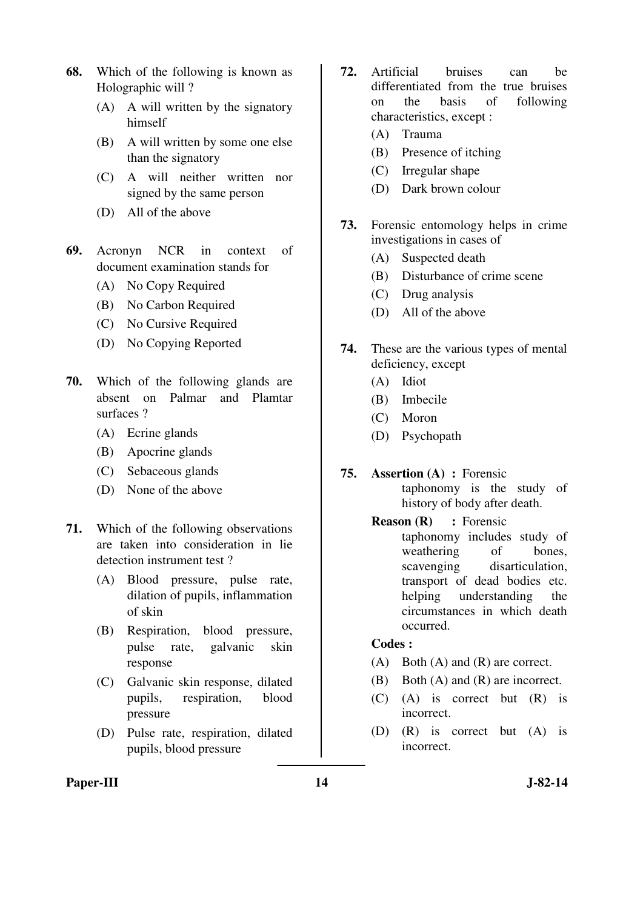- **68.** Which of the following is known as Holographic will ?
	- (A) A will written by the signatory himself
	- (B) A will written by some one else than the signatory
	- (C) A will neither written nor signed by the same person
	- (D) All of the above
- **69.** Acronyn NCR in context of document examination stands for
	- (A) No Copy Required
	- (B) No Carbon Required
	- (C) No Cursive Required
	- (D) No Copying Reported
- **70.** Which of the following glands are absent on Palmar and Plamtar surfaces ?
	- (A) Ecrine glands
	- (B) Apocrine glands
	- (C) Sebaceous glands
	- (D) None of the above
- **71.** Which of the following observations are taken into consideration in lie detection instrument test ?
	- (A) Blood pressure, pulse rate, dilation of pupils, inflammation of skin
	- (B) Respiration, blood pressure, pulse rate, galvanic skin response
	- (C) Galvanic skin response, dilated pupils, respiration, blood pressure
	- (D) Pulse rate, respiration, dilated pupils, blood pressure
- **72.** Artificial bruises can be differentiated from the true bruises on the basis of following characteristics, except :
	- (A) Trauma
	- (B) Presence of itching
	- (C) Irregular shape
	- (D) Dark brown colour
- **73.** Forensic entomology helps in crime investigations in cases of
	- (A) Suspected death
	- (B) Disturbance of crime scene
	- (C) Drug analysis
	- (D) All of the above
- **74.** These are the various types of mental deficiency, except
	- (A) Idiot
	- (B) Imbecile
	- (C) Moron
	- (D) Psychopath
- **75. Assertion (A) :** Forensic taphonomy is the study of history of body after death.
	- **Reason (R) :** Forensic taphonomy includes study of weathering of bones, scavenging disarticulation, transport of dead bodies etc. helping understanding the circumstances in which death occurred.

- (A) Both (A) and (R) are correct.
- (B) Both (A) and (R) are incorrect.
- (C) (A) is correct but (R) is incorrect.
- (D) (R) is correct but (A) is incorrect.

### Paper-III **14** J-82-14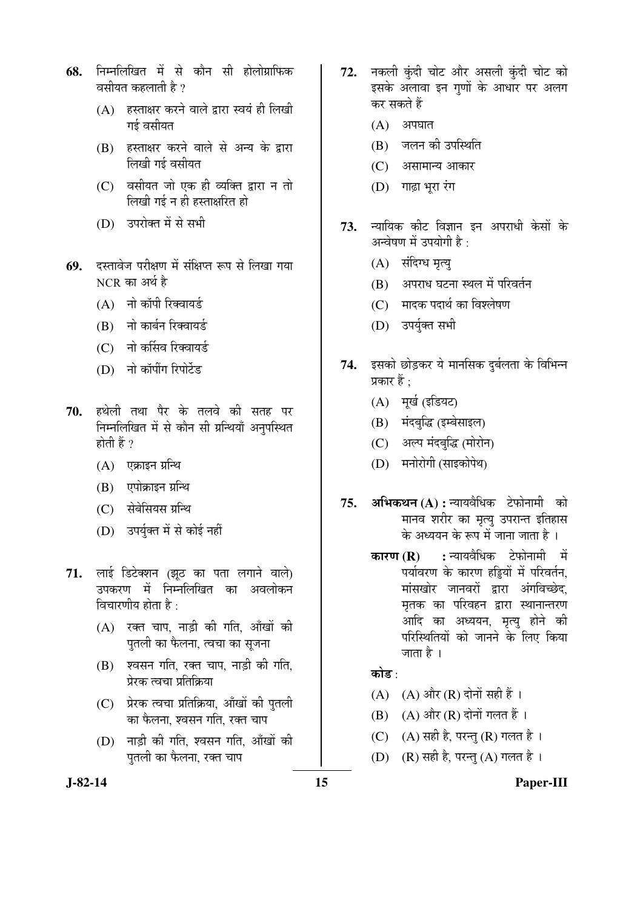- **68.** निम्नलिखित में से कौन सी होलोग्राफिक वसीयत कहलाती है  $\eta$ 
	- $(A)$  हस्ताक्षर करने वाले द्वारा स्वयं ही लिखी गई वसीयत
	- (B) हस्ताक्षर करने वाले से अन्य के द्वारा लिखी गई वसीयत
	- $(C)$  वसीयत जो एक ही व्यक्ति द्वारा न तो <u>लिखी गई न ही हस्ताक्षरित हो</u>
	- (D) उपरोक्त में से सभी
- 69. दस्तावेज परीक्षण में संक्षिप्त रूप से लिखा गया  $NCR$  का अर्थ है
	- $(A)$  नो कॉपी रिक्वायर्ड
	- (B) नो कार्बन रिक्वायर्ड
	- (C) नो कर्सिव रिक्वायर्ड
	- (D) नो कॉपींग रिपोर्टेड
- 70. हथेली तथा पैर के तलवे की सतह पर निम्नलिखित में से कौन सी प्रन्थियाँ अनुपस्थित होती हैं ?
	- $(A)$  एक्राइन ग्रन्थि
	- (B) एपोक्राइन ग्रन्थि
	- (C) सेबेसियस ग्रन्थि
	- (D) उपर्युक्त में से कोई नहीं
- 71. लाई डिटेक्शन (झूठ का पता लगाने वाले) उपकरण में निम्नलिखित का अवलोकन विचारणीय होता है $\cdot$ 
	- $(A)$  रक्त चाप, नाड़ी की गति, आँखों की पुतली का फैलना, त्वचा का सूजना
	- (B) श्वसन गति, रक्त चाप, नाड़ी की गति, प्रेरक त्वचा प्रतिक्रिया
	- (C) प्रेरक त्वचा प्रतिक्रिया, आँखों की पुतली का फैलना, श्वसन गति, रक्त चाप
	- (D) नाड़ी की गति, श्वसन गति, आँखों की पुतली का फैलना, रक्त चाप
- 72. नकली कुंदी चोट और असली कुंदी चोट को इसके अलावा इन गणों के आधार पर अलग कर सकते हैं
	- $(A)$  अपघात
	- (B) जलन की उपस्थिति
	- (C) असामान्य आकार
	- $(D)$  गाढा भरा रंग
- 73. न्यायिक कीट विज्ञान इन अपराधी केसों के अन्वेषण में उपयोगी है $\cdot$ 
	- (A) संदिग्ध मृत्यू
	- $(B)$  अपराध घटना स्थल में परिवर्तन
	- (C) मादक पदार्थ का विश्लेषण
	- (D) उपर्यक्त सभी
- 74. इसको छोड़कर ये मानसिक दुर्बलता के विभिन्न प्रकार हैं $\cdot$ 
	- (A) मूर्ख (इडियट)
	- (B) मंदबुद्धि (इम्बेसाइल)
	- (C) अल्प मंदबद्धि (मोरोन)
	- (D) मनोरोगी (साइकोपेथ)
- 75. अभिकथन (A) : न्यायवैधिक टेफोनामी को मानव शरीर का मृत्यू उपरान्त इतिहास के अध्ययन के रूप में जाना जाता है ।
	- **कारण (R) :** न्यायवैधिक टेफोनामी में पर्यावरण के कारण हड्डियों में परिवर्तन, <u>मांसखोर जानवरों द्वारा अंगविच्छेद,</u> मृतक का परिवहन द्वारा स्थानान्तरण आदि का अध्ययन, मृत्यु होने की परिस्थितियों को जानने के लिए किया जाता है ।

### कोड $\cdot$

- (A)  $(A)$  और  $(R)$  दोनों सही हैं।
- $(B)$   $(A)$  और  $(R)$  दोनों गलत हैं।
- (C)  $(A)$  सही है, परन्तु (R) गलत है।
- $(D)$   $(R)$  सही है, परन्तु $(A)$  गलत है।

### **J-82-14 15 Paper-III**